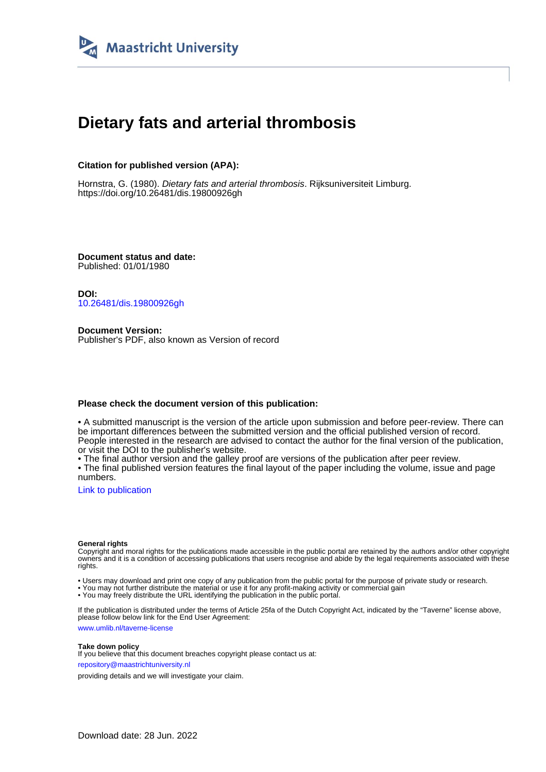

# **Dietary fats and arterial thrombosis**

## **Citation for published version (APA):**

Hornstra, G. (1980). *Dietary fats and arterial thrombosis*. Rijksuniversiteit Limburg. <https://doi.org/10.26481/dis.19800926gh>

**Document status and date:** Published: 01/01/1980

**DOI:** [10.26481/dis.19800926gh](https://doi.org/10.26481/dis.19800926gh)

**Document Version:** Publisher's PDF, also known as Version of record

### **Please check the document version of this publication:**

• A submitted manuscript is the version of the article upon submission and before peer-review. There can be important differences between the submitted version and the official published version of record. People interested in the research are advised to contact the author for the final version of the publication, or visit the DOI to the publisher's website.

• The final author version and the galley proof are versions of the publication after peer review.

• The final published version features the final layout of the paper including the volume, issue and page numbers.

[Link to publication](https://cris.maastrichtuniversity.nl/en/publications/5770335b-e46a-4605-86a3-b11b717603c4)

#### **General rights**

Copyright and moral rights for the publications made accessible in the public portal are retained by the authors and/or other copyright owners and it is a condition of accessing publications that users recognise and abide by the legal requirements associated with these rights.

• Users may download and print one copy of any publication from the public portal for the purpose of private study or research.

• You may not further distribute the material or use it for any profit-making activity or commercial gain

• You may freely distribute the URL identifying the publication in the public portal.

If the publication is distributed under the terms of Article 25fa of the Dutch Copyright Act, indicated by the "Taverne" license above, please follow below link for the End User Agreement:

www.umlib.nl/taverne-license

#### **Take down policy**

If you believe that this document breaches copyright please contact us at: repository@maastrichtuniversity.nl

providing details and we will investigate your claim.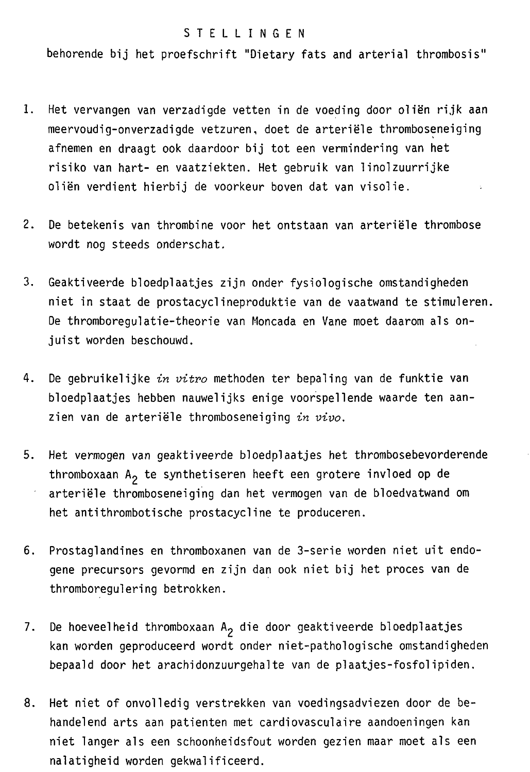#### **STELLINGEN**

behorende bij het proefschrift "Dietary fats and arterial thrombosis"

- 1. Het vervangen van verzadigde vetten in de voeding door oliën rijk aan meervoudig-onverzadigde vetzuren, doet de arteriële thromboseneiging afnemen en draagt ook daardoor bij tot een vermindering van het risiko van hart- en vaatziekten. Het gebruik van linolzuurrijke oliën verdient hierbij de voorkeur boven dat van visolie.
- $2.$ De betekenis van thrombine voor het ontstaan van arteriële thrombose wordt nog steeds onderschat.
- 3. Geaktiveerde bloedplaatjes zijn onder fysiologische omstandigheden niet in staat de prostacyclineproduktie van de vaatwand te stimuleren. De thromboregulatie-theorie van Moncada en Vane moet daarom als onjuist worden beschouwd.
- 4. De gebruikelijke in vitro methoden ter bepaling van de funktie van bloedplaatjes hebben nauwelijks enige voorspellende waarde ten aanzien van de arteriële thromboseneiging in vivo.
- $5.$ Het vermogen van geaktiveerde bloedplaatjes het thrombosebevorderende thromboxaan A<sub>2</sub> te synthetiseren heeft een grotere invloed op de arteriële thromboseneiging dan het vermogen van de bloedvatwand om het antithrombotische prostacycline te produceren.
- 6. Prostaglandines en thromboxanen van de 3-serie worden niet uit endogene precursors gevormd en zijn dan ook niet bij het proces van de thromboregulering betrokken.
- 7. De hoeveelheid thromboxaan  $A_2$  die door geaktiveerde bloedplaatjes kan worden geproduceerd wordt onder niet-pathologische omstandigheden bepaald door het arachidonzuurgehalte van de plaatjes-fosfolipiden.
- 8. Het niet of onvolledig verstrekken van voedingsadviezen door de behandelend arts aan patienten met cardiovasculaire aandoeningen kan niet langer als een schoonheidsfout worden gezien maar moet als een nalatigheid worden gekwalificeerd.